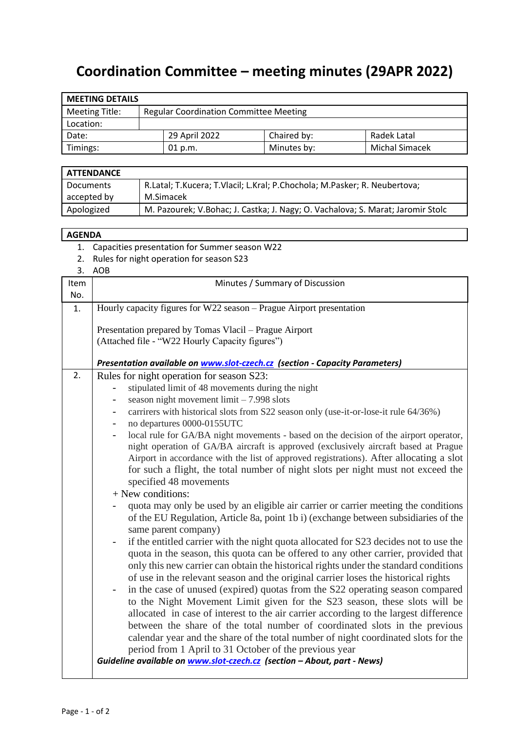## **Coordination Committee – meeting minutes (29APR 2022)**

| <b>MEETING DETAILS</b> |  |                                               |             |                       |  |  |  |
|------------------------|--|-----------------------------------------------|-------------|-----------------------|--|--|--|
| <b>Meeting Title:</b>  |  | <b>Regular Coordination Committee Meeting</b> |             |                       |  |  |  |
| Location:              |  |                                               |             |                       |  |  |  |
| Date:                  |  | 29 April 2022                                 | Chaired by: | Radek Latal           |  |  |  |
| Timings:               |  | 01 p.m.                                       | Minutes by: | <b>Michal Simacek</b> |  |  |  |

| <b>ATTENDANCE</b> |                                                                                 |
|-------------------|---------------------------------------------------------------------------------|
| Documents         | R.Latal; T.Kucera; T.Vlacil; L.Kral; P.Chochola; M.Pasker; R. Neubertova;       |
| accepted by       | M.Simacek                                                                       |
| Apologized        | M. Pazourek; V.Bohac; J. Castka; J. Nagy; O. Vachalova; S. Marat; Jaromir Stolc |

## **AGENDA**

- 1. Capacities presentation for Summer season W22
- 2. Rules for night operation for season S23
- 3. AOB

| Item | Minutes / Summary of Discussion                                                         |  |  |  |  |  |  |  |  |
|------|-----------------------------------------------------------------------------------------|--|--|--|--|--|--|--|--|
| No.  |                                                                                         |  |  |  |  |  |  |  |  |
| 1.   | Hourly capacity figures for W22 season – Prague Airport presentation                    |  |  |  |  |  |  |  |  |
|      |                                                                                         |  |  |  |  |  |  |  |  |
|      | Presentation prepared by Tomas Vlacil - Prague Airport                                  |  |  |  |  |  |  |  |  |
|      | (Attached file - "W22 Hourly Capacity figures")                                         |  |  |  |  |  |  |  |  |
|      | Presentation available on <b>www.slot-czech.cz</b> (section - Capacity Parameters)      |  |  |  |  |  |  |  |  |
| 2.   | Rules for night operation for season S23:                                               |  |  |  |  |  |  |  |  |
|      | stipulated limit of 48 movements during the night                                       |  |  |  |  |  |  |  |  |
|      | season night movement $limit - 7.998$ slots                                             |  |  |  |  |  |  |  |  |
|      | carrirers with historical slots from S22 season only (use-it-or-lose-it rule 64/36%)    |  |  |  |  |  |  |  |  |
|      | no departures 0000-0155UTC                                                              |  |  |  |  |  |  |  |  |
|      | local rule for GA/BA night movements - based on the decision of the airport operator,   |  |  |  |  |  |  |  |  |
|      | night operation of GA/BA aircraft is approved (exclusively aircraft based at Prague     |  |  |  |  |  |  |  |  |
|      | Airport in accordance with the list of approved registrations). After allocating a slot |  |  |  |  |  |  |  |  |
|      | for such a flight, the total number of night slots per night must not exceed the        |  |  |  |  |  |  |  |  |
|      | specified 48 movements                                                                  |  |  |  |  |  |  |  |  |
|      | + New conditions:                                                                       |  |  |  |  |  |  |  |  |
|      | quota may only be used by an eligible air carrier or carrier meeting the conditions     |  |  |  |  |  |  |  |  |
|      | of the EU Regulation, Article 8a, point 1b i) (exchange between subsidiaries of the     |  |  |  |  |  |  |  |  |
|      | same parent company)                                                                    |  |  |  |  |  |  |  |  |
|      | if the entitled carrier with the night quota allocated for S23 decides not to use the   |  |  |  |  |  |  |  |  |
|      | quota in the season, this quota can be offered to any other carrier, provided that      |  |  |  |  |  |  |  |  |
|      | only this new carrier can obtain the historical rights under the standard conditions    |  |  |  |  |  |  |  |  |
|      | of use in the relevant season and the original carrier loses the historical rights      |  |  |  |  |  |  |  |  |
|      | in the case of unused (expired) quotas from the S22 operating season compared           |  |  |  |  |  |  |  |  |
|      | to the Night Movement Limit given for the S23 season, these slots will be               |  |  |  |  |  |  |  |  |
|      | allocated in case of interest to the air carrier according to the largest difference    |  |  |  |  |  |  |  |  |
|      | between the share of the total number of coordinated slots in the previous              |  |  |  |  |  |  |  |  |
|      | calendar year and the share of the total number of night coordinated slots for the      |  |  |  |  |  |  |  |  |
|      | period from 1 April to 31 October of the previous year                                  |  |  |  |  |  |  |  |  |
|      |                                                                                         |  |  |  |  |  |  |  |  |
|      | Guideline available on www.slot-czech.cz (section - About, part - News)                 |  |  |  |  |  |  |  |  |
|      |                                                                                         |  |  |  |  |  |  |  |  |